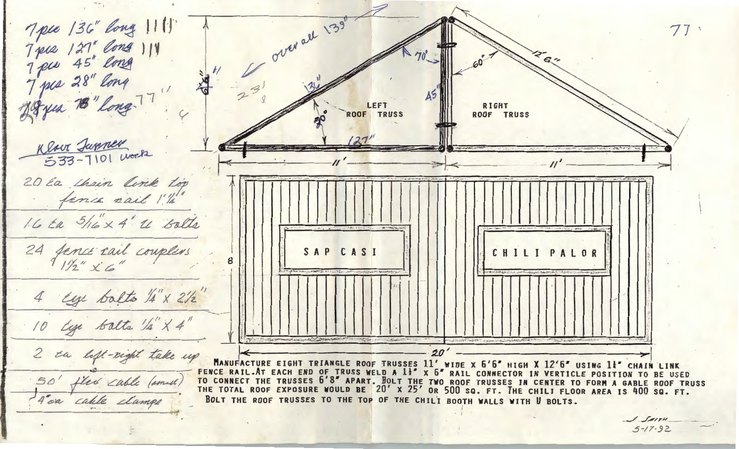

 $5 - 17 - 92$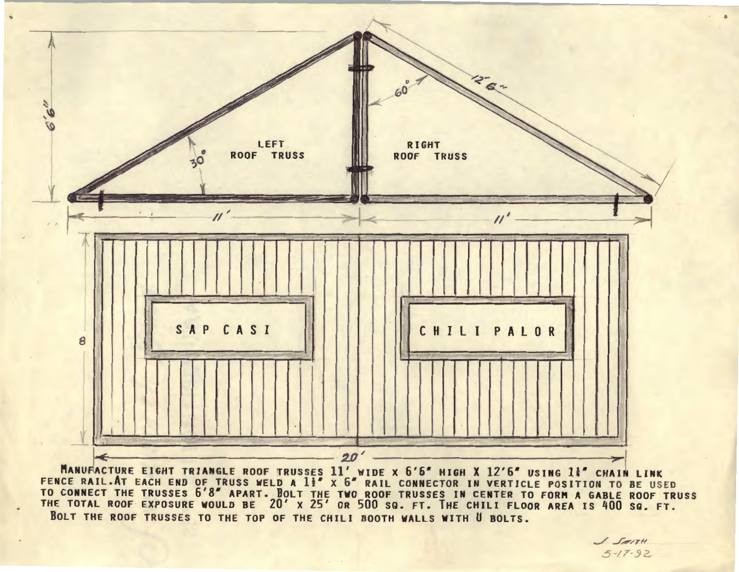

MANUFACTURE EIGHT TRIANGLE ROOF TRUSSES 11' WIDE X 6'6" HIGH X 12'6" USING 14" CHAIN LINK<br>FENCE RAIL.AT EACH END OF TRUSS WELD A 1<sup>1</sup> X 6" RAIL CONNECTOR IN VERTICLE POSITION TO BE USED<br>TO CONNECT THE TRUSSES 6'8" APART. B THE TOTAL ROOF EXPOSURE WOULD BE 20' x 25' OR 500 SQ. FT. THE CHILI FLOOR AREA IS 400 SQ. FT. BOLT THE ROOF TRUSSES TO THE TOP OF THE CHILI BOOTH WALLS WITH U BOLTS.

J SAITH  $5 - 17 - 92$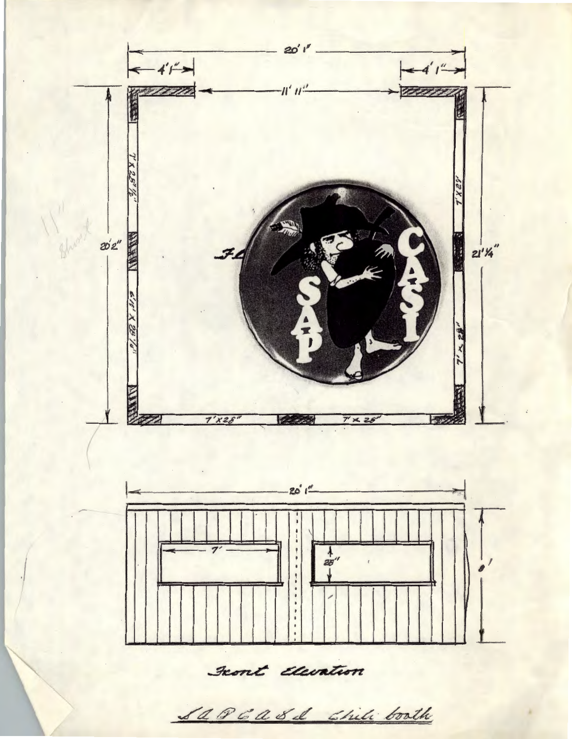

Front Elevation

Sa P 6 a & d Chili boath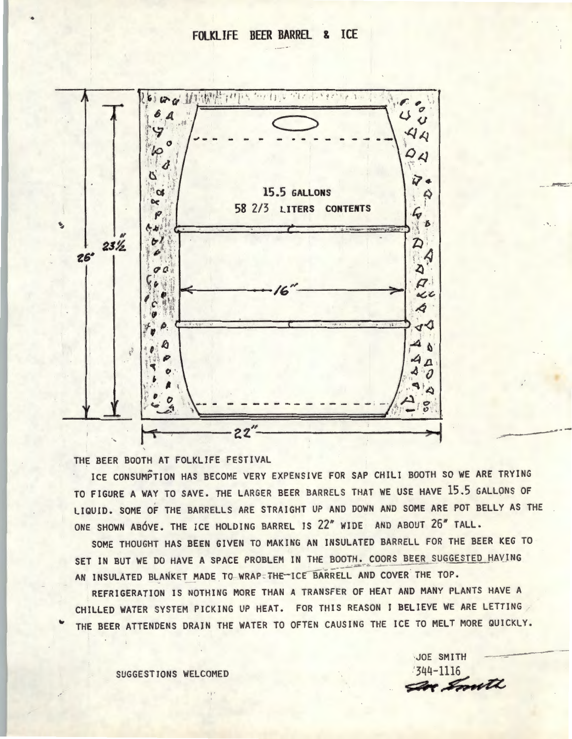## **FOLKLIFE BEER BARREL & ICE**



THE BEER BOOTH AT FOLKLIFE FESTIVAL

ICE CONSUMPTION HAS BECOME VERY EXPENSIVE FOR SAP CHILI BOOTH SO WE ARE TRYING TO FIGURE A WAY TO SAVE. THE LARGER BEER BARRELS THAT WE USE HAVE 15.5 GALLONS OF LIQUID. SOME OF THE BARRELLS ARE STRAIGHT UP AND DOWN AND SOME ARE POT BELLY AS THE ONE SHOWN AB6VE. THE ICE HOLDING BARREL IS 22" WIDE AND ABOUT 26" TALL.

SOME THOUGHT HAS BEEN GIVEN TO MAKING AN INSULATED BARRELL FOR THE BEER KEG TO SET IN BUT WE DO HAVE A SPACE PROBLEM IN THE BOOTH. COORS BEER SUGGESTED HAVING AN INSULATED BLANKET MADE TO WRAP THE ICE BARRELL AND COVER THE TOP.

REFRIGERATION IS NOTHING MORE THAN A TRANSFER OF HEAT AND MANY PLANTS HAVE A CHILLED WATER SYSTEM PICKING UP HEAT. FOR THIS REASON I BELIEVE WE ARE LETTING THE BEER ATTENDENS DRAIN THE WATER TO OFTEN CAUSING THE ICE TO MELT MORE QUICKLY.

SUGGESTIONS WELCOMED 3UGGESTIONS WELCOMED

**DOE SMITH** *s:a..-~*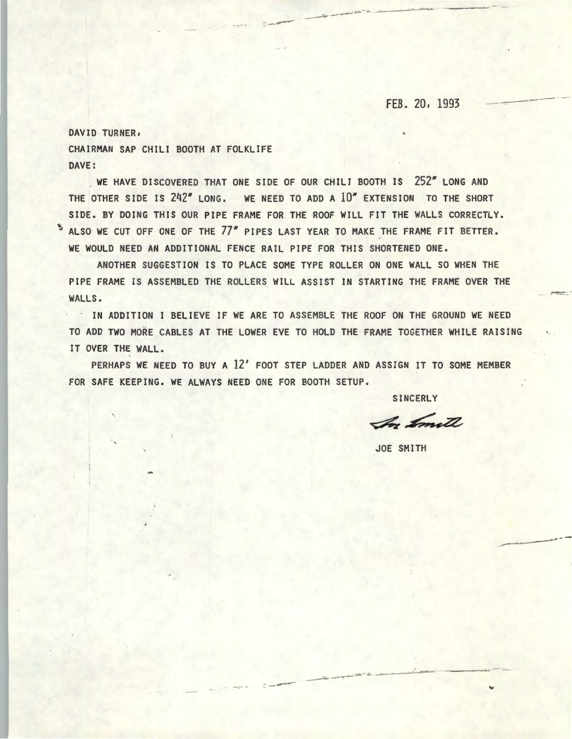## FEB. 20, 1993

DAVID TURNER, CHAIRMAN SAP CHILI BOOTH AT FOLKLIFE DAVE:

WE HAVE DISCOVERED THAT ONE SIDE OF OUR CHILI BOOTH IS 252" LONG AND THE OTHER SIDE IS 242" LONG. WE NEED TO ADD A 10" EXTENSION TO THE SHORT SIDE. BY DOING THIS OUR PIPE FRAME FOR THE ROOF WILL FIT THE WALLS CORRECTLY. \* ALSO WE CUT OFF ONE OF THE 77" PIPES LAST YEAR TO MAKE THE FRAME FIT BETTER. WE WOULD NEED AN ADDITIONAL FENCE RAIL PIPE FOR THIS SHORTENED ONE.

-------

ANOTHER SUGGESTION IS TO PLACE SOME TYPE ROLLER ON ONE WALL SO WHEN THE PIPE FRAME IS ASSEMBLED THE ROLLERS WILL ASSIST IN STARTING THE FRAME OVER THE WALLS.

· IN ADDITION I BELIEVE IF WE ARE TO ASSEMBLE THE ROOF ON THE GROUND WE NEED TO ADD TWO MORE CABLES AT THE LOWER EVE TO HOLD THE FRAME TOGETHER WHILE RAISING IT OVER THE WALL.

PERHAPS WE NEED TO BUY A 12' FOOT STEP LADDER AND ASSIGN IT TO SOME MEMBER FOR SAFE KEEPING. WE ALWAYS NEED ONE FOR BOOTH SETUP.

---

SINCERLY

In Smith

JOE SMITH